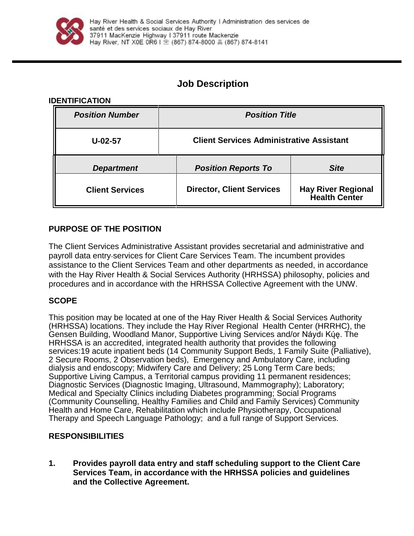

# **Job Description**

### **IDENTIFICATION**

| <b>Position Number</b> | <b>Position Title</b>                           |                                                   |
|------------------------|-------------------------------------------------|---------------------------------------------------|
| $U-02-57$              | <b>Client Services Administrative Assistant</b> |                                                   |
| <b>Department</b>      | <b>Position Reports To</b>                      | <b>Site</b>                                       |
| <b>Client Services</b> | <b>Director, Client Services</b>                | <b>Hay River Regional</b><br><b>Health Center</b> |

## **PURPOSE OF THE POSITION**

The Client Services Administrative Assistant provides secretarial and administrative and payroll data entry services for Client Care Services Team. The incumbent provides assistance to the Client Services Team and other departments as needed, in accordance with the Hay River Health & Social Services Authority (HRHSSA) philosophy, policies and procedures and in accordance with the HRHSSA Collective Agreement with the UNW.

## **SCOPE**

This position may be located at one of the Hay River Health & Social Services Authority (HRHSSA) locations. They include the Hay River Regional Health Center (HRRHC), the Gensen Building, Woodland Manor, Supportive Living Services and/or Náydı Kų́ę. The HRHSSA is an accredited, integrated health authority that provides the following services:19 acute inpatient beds (14 Community Support Beds, 1 Family Suite (Palliative), 2 Secure Rooms, 2 Observation beds), Emergency and Ambulatory Care, including dialysis and endoscopy; Midwifery Care and Delivery; 25 Long Term Care beds; Supportive Living Campus, a Territorial campus providing 11 permanent residences; Diagnostic Services (Diagnostic Imaging, Ultrasound, Mammography); Laboratory; Medical and Specialty Clinics including Diabetes programming; Social Programs (Community Counselling, Healthy Families and Child and Family Services) Community Health and Home Care, Rehabilitation which include Physiotherapy, Occupational Therapy and Speech Language Pathology; and a full range of Support Services.

### **RESPONSIBILITIES**

**1. Provides payroll data entry and staff scheduling support to the Client Care Services Team, in accordance with the HRHSSA policies and guidelines and the Collective Agreement.**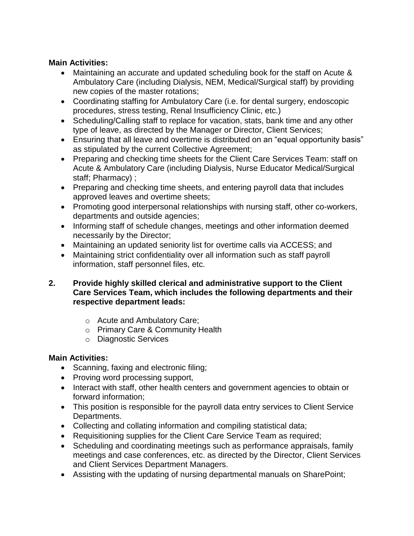## **Main Activities:**

- Maintaining an accurate and updated scheduling book for the staff on Acute & Ambulatory Care (including Dialysis, NEM, Medical/Surgical staff) by providing new copies of the master rotations;
- Coordinating staffing for Ambulatory Care (i.e. for dental surgery, endoscopic procedures, stress testing, Renal Insufficiency Clinic, etc.)
- Scheduling/Calling staff to replace for vacation, stats, bank time and any other type of leave, as directed by the Manager or Director, Client Services;
- Ensuring that all leave and overtime is distributed on an "equal opportunity basis" as stipulated by the current Collective Agreement;
- Preparing and checking time sheets for the Client Care Services Team: staff on Acute & Ambulatory Care (including Dialysis, Nurse Educator Medical/Surgical staff; Pharmacy) ;
- Preparing and checking time sheets, and entering payroll data that includes approved leaves and overtime sheets;
- Promoting good interpersonal relationships with nursing staff, other co-workers, departments and outside agencies;
- Informing staff of schedule changes, meetings and other information deemed necessarily by the Director;
- Maintaining an updated seniority list for overtime calls via ACCESS; and
- Maintaining strict confidentiality over all information such as staff payroll information, staff personnel files, etc.
- **2. Provide highly skilled clerical and administrative support to the Client Care Services Team, which includes the following departments and their respective department leads:**
	- o Acute and Ambulatory Care;
	- o Primary Care & Community Health
	- o Diagnostic Services

## **Main Activities:**

- Scanning, faxing and electronic filing;
- Proving word processing support,
- Interact with staff, other health centers and government agencies to obtain or forward information;
- This position is responsible for the payroll data entry services to Client Service Departments.
- Collecting and collating information and compiling statistical data;
- Requisitioning supplies for the Client Care Service Team as required;
- Scheduling and coordinating meetings such as performance appraisals, family meetings and case conferences, etc. as directed by the Director, Client Services and Client Services Department Managers.
- Assisting with the updating of nursing departmental manuals on SharePoint;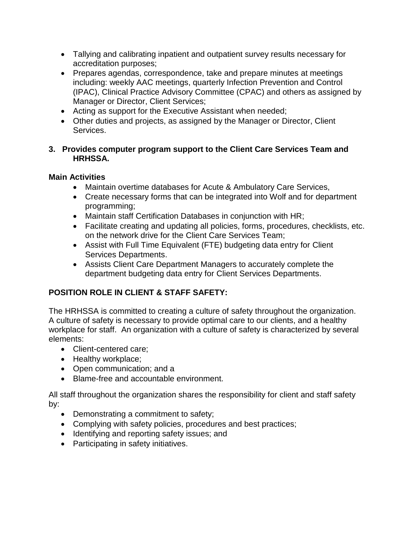- Tallying and calibrating inpatient and outpatient survey results necessary for accreditation purposes;
- Prepares agendas, correspondence, take and prepare minutes at meetings including: weekly AAC meetings, quarterly Infection Prevention and Control (IPAC), Clinical Practice Advisory Committee (CPAC) and others as assigned by Manager or Director, Client Services;
- Acting as support for the Executive Assistant when needed;
- Other duties and projects, as assigned by the Manager or Director, Client Services.

## **3. Provides computer program support to the Client Care Services Team and HRHSSA.**

## **Main Activities**

- Maintain overtime databases for Acute & Ambulatory Care Services,
- Create necessary forms that can be integrated into Wolf and for department programming;
- Maintain staff Certification Databases in conjunction with HR;
- Facilitate creating and updating all policies, forms, procedures, checklists, etc. on the network drive for the Client Care Services Team;
- Assist with Full Time Equivalent (FTE) budgeting data entry for Client Services Departments.
- Assists Client Care Department Managers to accurately complete the department budgeting data entry for Client Services Departments.

## **POSITION ROLE IN CLIENT & STAFF SAFETY:**

The HRHSSA is committed to creating a culture of safety throughout the organization. A culture of safety is necessary to provide optimal care to our clients, and a healthy workplace for staff. An organization with a culture of safety is characterized by several elements:

- Client-centered care;
- Healthy workplace;
- Open communication; and a
- Blame-free and accountable environment.

All staff throughout the organization shares the responsibility for client and staff safety by:

- Demonstrating a commitment to safety;
- Complying with safety policies, procedures and best practices;
- Identifying and reporting safety issues; and
- Participating in safety initiatives.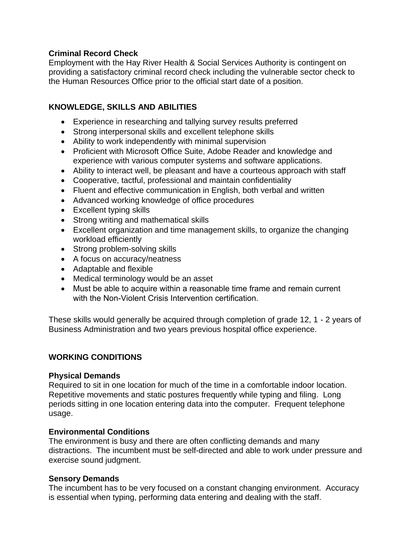### **Criminal Record Check**

Employment with the Hay River Health & Social Services Authority is contingent on providing a satisfactory criminal record check including the vulnerable sector check to the Human Resources Office prior to the official start date of a position.

## **KNOWLEDGE, SKILLS AND ABILITIES**

- Experience in researching and tallying survey results preferred
- Strong interpersonal skills and excellent telephone skills
- Ability to work independently with minimal supervision
- Proficient with Microsoft Office Suite, Adobe Reader and knowledge and experience with various computer systems and software applications.
- Ability to interact well, be pleasant and have a courteous approach with staff
- Cooperative, tactful, professional and maintain confidentiality
- Fluent and effective communication in English, both verbal and written
- Advanced working knowledge of office procedures
- Excellent typing skills
- Strong writing and mathematical skills
- Excellent organization and time management skills, to organize the changing workload efficiently
- Strong problem-solving skills
- A focus on accuracy/neatness
- Adaptable and flexible
- Medical terminology would be an asset
- Must be able to acquire within a reasonable time frame and remain current with the Non-Violent Crisis Intervention certification

These skills would generally be acquired through completion of grade 12, 1 - 2 years of Business Administration and two years previous hospital office experience.

## **WORKING CONDITIONS**

### **Physical Demands**

Required to sit in one location for much of the time in a comfortable indoor location. Repetitive movements and static postures frequently while typing and filing. Long periods sitting in one location entering data into the computer. Frequent telephone usage.

### **Environmental Conditions**

The environment is busy and there are often conflicting demands and many distractions. The incumbent must be self-directed and able to work under pressure and exercise sound judgment.

### **Sensory Demands**

The incumbent has to be very focused on a constant changing environment. Accuracy is essential when typing, performing data entering and dealing with the staff.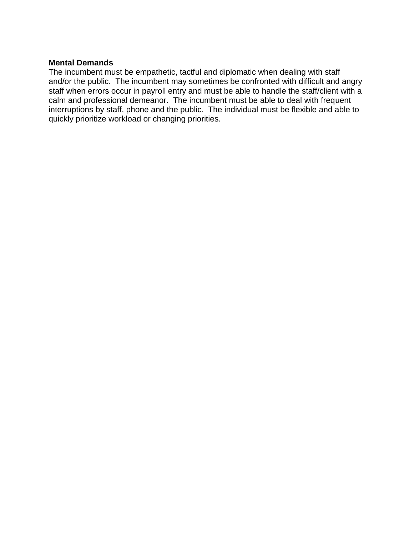#### **Mental Demands**

The incumbent must be empathetic, tactful and diplomatic when dealing with staff and/or the public. The incumbent may sometimes be confronted with difficult and angry staff when errors occur in payroll entry and must be able to handle the staff/client with a calm and professional demeanor. The incumbent must be able to deal with frequent interruptions by staff, phone and the public. The individual must be flexible and able to quickly prioritize workload or changing priorities.